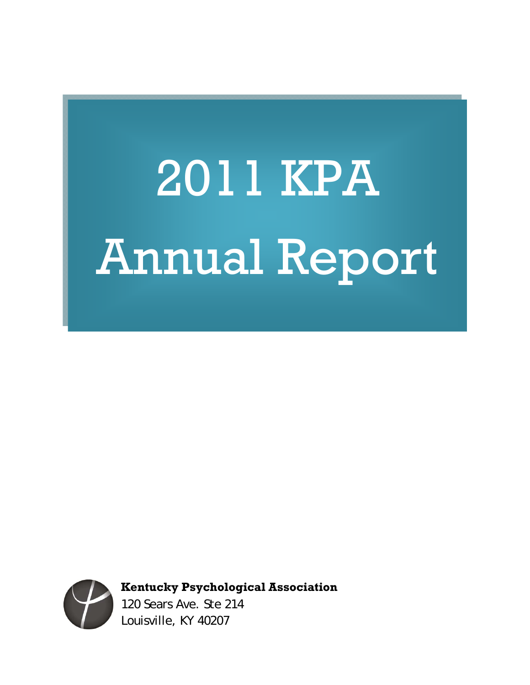# 2011 KPA Annual Report



**Kentucky Psychological Association** 

120 Sears Ave. Ste 214 Louisville, KY 40207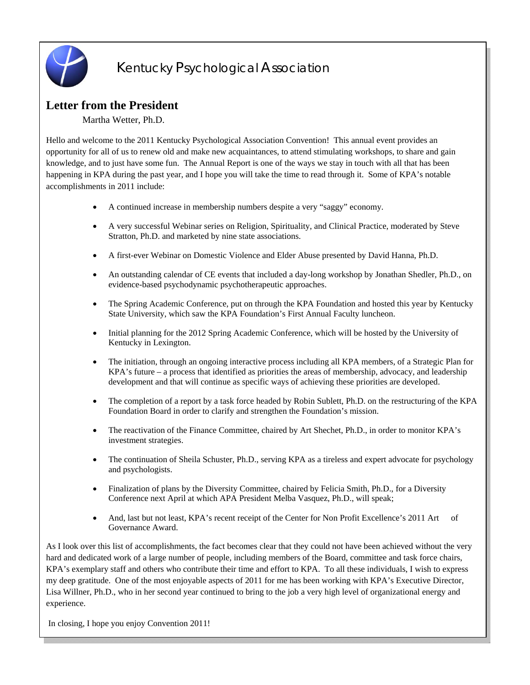

# Kentucky Psychological Association

# **Letter from the President**

Martha Wetter, Ph.D.

Hello and welcome to the 2011 Kentucky Psychological Association Convention! This annual event provides an opportunity for all of us to renew old and make new acquaintances, to attend stimulating workshops, to share and gain knowledge, and to just have some fun. The Annual Report is one of the ways we stay in touch with all that has been happening in KPA during the past year, and I hope you will take the time to read through it. Some of KPA's notable accomplishments in 2011 include:

- A continued increase in membership numbers despite a very "saggy" economy.
- A very successful Webinar series on Religion, Spirituality, and Clinical Practice, moderated by Steve Stratton, Ph.D. and marketed by nine state associations.
- A first-ever Webinar on Domestic Violence and Elder Abuse presented by David Hanna, Ph.D.
- An outstanding calendar of CE events that included a day-long workshop by Jonathan Shedler, Ph.D., on evidence-based psychodynamic psychotherapeutic approaches.
- The Spring Academic Conference, put on through the KPA Foundation and hosted this year by Kentucky State University, which saw the KPA Foundation's First Annual Faculty luncheon.
- Initial planning for the 2012 Spring Academic Conference, which will be hosted by the University of Kentucky in Lexington.
- The initiation, through an ongoing interactive process including all KPA members, of a Strategic Plan for KPA's future – a process that identified as priorities the areas of membership, advocacy, and leadership development and that will continue as specific ways of achieving these priorities are developed.
- The completion of a report by a task force headed by Robin Sublett, Ph.D. on the restructuring of the KPA Foundation Board in order to clarify and strengthen the Foundation's mission.
- The reactivation of the Finance Committee, chaired by Art Shechet, Ph.D., in order to monitor KPA's investment strategies.
- The continuation of Sheila Schuster, Ph.D., serving KPA as a tireless and expert advocate for psychology and psychologists.
- Finalization of plans by the Diversity Committee, chaired by Felicia Smith, Ph.D., for a Diversity Conference next April at which APA President Melba Vasquez, Ph.D., will speak;
- And, last but not least, KPA's recent receipt of the Center for Non Profit Excellence's 2011 Art of Governance Award.

As I look over this list of accomplishments, the fact becomes clear that they could not have been achieved without the very hard and dedicated work of a large number of people, including members of the Board, committee and task force chairs, KPA's exemplary staff and others who contribute their time and effort to KPA. To all these individuals, I wish to express my deep gratitude. One of the most enjoyable aspects of 2011 for me has been working with KPA's Executive Director, Lisa Willner, Ph.D., who in her second year continued to bring to the job a very high level of organizational energy and experience.

In closing, I hope you enjoy Convention 2011!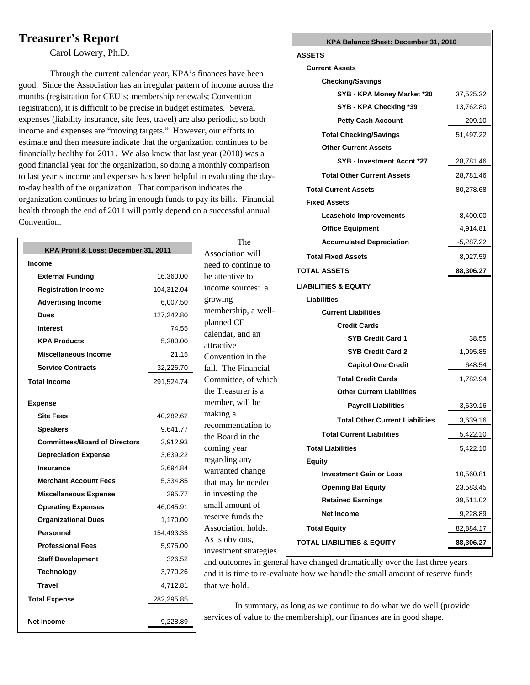# **Treasurer's Report**

Carol Lowery, Ph.D.

Through the current calendar year, KPA's finances have been good. Since the Association has an irregular pattern of income across the months (registration for CEU's; membership renewals; Convention registration), it is difficult to be precise in budget estimates. Several expenses (liability insurance, site fees, travel) are also periodic, so both income and expenses are "moving targets." However, our efforts to estimate and then measure indicate that the organization continues to be financially healthy for 2011. We also know that last year (2010) was a good financial year for the organization, so doing a monthly comparison to last year's income and expenses has been helpful in evaluating the dayto-day health of the organization. That comparison indicates the organization continues to bring in enough funds to pay its bills. Financial health through the end of 2011 will partly depend on a successful annual Convention.

| KPA Profit & Loss: December 31, 2011 |            |  |
|--------------------------------------|------------|--|
| Income                               |            |  |
| <b>External Funding</b>              | 16,360.00  |  |
| <b>Registration Income</b>           | 104,312.04 |  |
| <b>Advertising Income</b>            | 6,007.50   |  |
| Dues                                 | 127,242.80 |  |
| <b>Interest</b>                      | 74.55      |  |
| <b>KPA Products</b>                  | 5,280.00   |  |
| Miscellaneous Income                 | 21.15      |  |
| <b>Service Contracts</b>             | 32,226.70  |  |
| <b>Total Income</b>                  | 291,524.74 |  |
| <b>Expense</b>                       |            |  |
| <b>Site Fees</b>                     | 40,282.62  |  |
| <b>Speakers</b>                      | 9,641.77   |  |
| <b>Committees/Board of Directors</b> | 3,912.93   |  |
| <b>Depreciation Expense</b>          | 3,639.22   |  |
| Insurance                            | 2,694.84   |  |
| <b>Merchant Account Fees</b>         | 5,334.85   |  |
| <b>Miscellaneous Expense</b>         | 295.77     |  |
| <b>Operating Expenses</b>            | 46,045.91  |  |
| <b>Organizational Dues</b>           | 1,170.00   |  |
| Personnel                            | 154,493.35 |  |
| <b>Professional Fees</b>             | 5,975.00   |  |
| <b>Staff Development</b>             | 326.52     |  |
| <b>Technology</b>                    | 3,770.26   |  |
| <b>Travel</b>                        | 4,712.81   |  |
| <b>Total Expense</b>                 | 282,295.85 |  |
| Net Income                           | 9,228.89   |  |

 The Association will need to continue to be attentive to income sources: a growing membership, a wellplanned CE calendar, and an attractive Convention in the fall. The Financial Committee, of which the Treasurer is a member, will be making a recommendation to the Board in the coming year regarding any warranted change that may be needed in investing the small amount of reserve funds the Association holds. As is obvious, investment strategies

#### **KPA Balance Sheet: December 31, 2010**

#### **ASSETS**

| <b>Current Assets</b>                  |             |
|----------------------------------------|-------------|
| <b>Checking/Savings</b>                |             |
| SYB - KPA Money Market *20             | 37,525.32   |
| SYB - KPA Checking *39                 | 13,762.80   |
| <b>Petty Cash Account</b>              | 209.10      |
| <b>Total Checking/Savings</b>          | 51,497.22   |
| <b>Other Current Assets</b>            |             |
| SYB - Investment Accnt *27             | 28,781.46   |
| <b>Total Other Current Assets</b>      | 28,781.46   |
| <b>Total Current Assets</b>            | 80,278.68   |
| <b>Fixed Assets</b>                    |             |
| <b>Leasehold Improvements</b>          | 8,400.00    |
| <b>Office Equipment</b>                | 4,914.81    |
| <b>Accumulated Depreciation</b>        | $-5,287.22$ |
| <b>Total Fixed Assets</b>              | 8,027.59    |
| TOTAL ASSETS                           | 88,306.27   |
| LIABILITIES & EQUITY                   |             |
| <b>Liabilities</b>                     |             |
| <b>Current Liabilities</b>             |             |
| <b>Credit Cards</b>                    |             |
| <b>SYB Credit Card 1</b>               | 38.55       |
| <b>SYB Credit Card 2</b>               | 1,095.85    |
| <b>Capitol One Credit</b>              | 648.54      |
| <b>Total Credit Cards</b>              | 1,782.94    |
| <b>Other Current Liabilities</b>       |             |
| <b>Payroll Liabilities</b>             | 3,639.16    |
| <b>Total Other Current Liabilities</b> | 3,639.16    |
| <b>Total Current Liabilities</b>       | 5,422.10    |
| Total Liabilities                      | 5,422.10    |
| <b>Equity</b>                          |             |
| <b>Investment Gain or Loss</b>         | 10,560.81   |
| <b>Opening Bal Equity</b>              | 23,583.45   |
| <b>Retained Earnings</b>               | 39,511.02   |
| <b>Net Income</b>                      | 9,228.89    |
| <b>Total Equity</b>                    | 82,884.17   |
| <b>TOTAL LIABILITIES &amp; EQUITY</b>  | 88,306.27   |

and outcomes in general have changed dramatically over the last three years and it is time to re-evaluate how we handle the small amount of reserve funds that we hold.

In summary, as long as we continue to do what we do well (provide services of value to the membership), our finances are in good shape.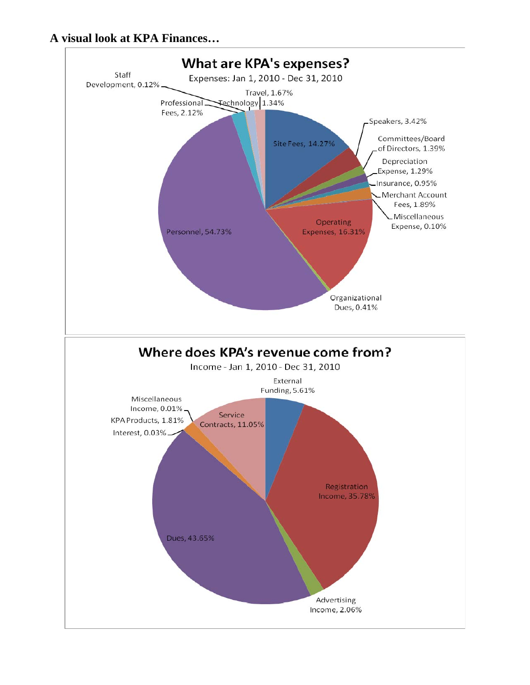# **A visual look at KPA Finances…**

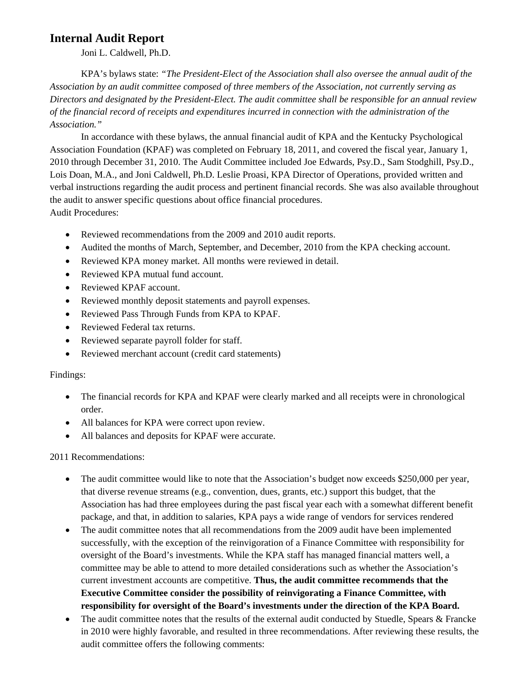# **Internal Audit Report**

Joni L. Caldwell, Ph.D.

KPA's bylaws state: *"The President-Elect of the Association shall also oversee the annual audit of the Association by an audit committee composed of three members of the Association, not currently serving as Directors and designated by the President-Elect. The audit committee shall be responsible for an annual review of the financial record of receipts and expenditures incurred in connection with the administration of the Association."* 

In accordance with these bylaws, the annual financial audit of KPA and the Kentucky Psychological Association Foundation (KPAF) was completed on February 18, 2011, and covered the fiscal year, January 1, 2010 through December 31, 2010. The Audit Committee included Joe Edwards, Psy.D., Sam Stodghill, Psy.D., Lois Doan, M.A., and Joni Caldwell, Ph.D. Leslie Proasi, KPA Director of Operations, provided written and verbal instructions regarding the audit process and pertinent financial records. She was also available throughout the audit to answer specific questions about office financial procedures. Audit Procedures:

- Reviewed recommendations from the 2009 and 2010 audit reports.
- Audited the months of March, September, and December, 2010 from the KPA checking account.
- Reviewed KPA money market. All months were reviewed in detail.
- Reviewed KPA mutual fund account.
- Reviewed KPAF account.
- Reviewed monthly deposit statements and payroll expenses.
- Reviewed Pass Through Funds from KPA to KPAF.
- Reviewed Federal tax returns.
- Reviewed separate payroll folder for staff.
- Reviewed merchant account (credit card statements)

#### Findings:

- The financial records for KPA and KPAF were clearly marked and all receipts were in chronological order.
- All balances for KPA were correct upon review.
- All balances and deposits for KPAF were accurate.

2011 Recommendations:

- The audit committee would like to note that the Association's budget now exceeds \$250,000 per year, that diverse revenue streams (e.g., convention, dues, grants, etc.) support this budget, that the Association has had three employees during the past fiscal year each with a somewhat different benefit package, and that, in addition to salaries, KPA pays a wide range of vendors for services rendered
- The audit committee notes that all recommendations from the 2009 audit have been implemented successfully, with the exception of the reinvigoration of a Finance Committee with responsibility for oversight of the Board's investments. While the KPA staff has managed financial matters well, a committee may be able to attend to more detailed considerations such as whether the Association's current investment accounts are competitive. **Thus, the audit committee recommends that the Executive Committee consider the possibility of reinvigorating a Finance Committee, with responsibility for oversight of the Board's investments under the direction of the KPA Board.**
- The audit committee notes that the results of the external audit conducted by Stuedle, Spears & Francke in 2010 were highly favorable, and resulted in three recommendations. After reviewing these results, the audit committee offers the following comments: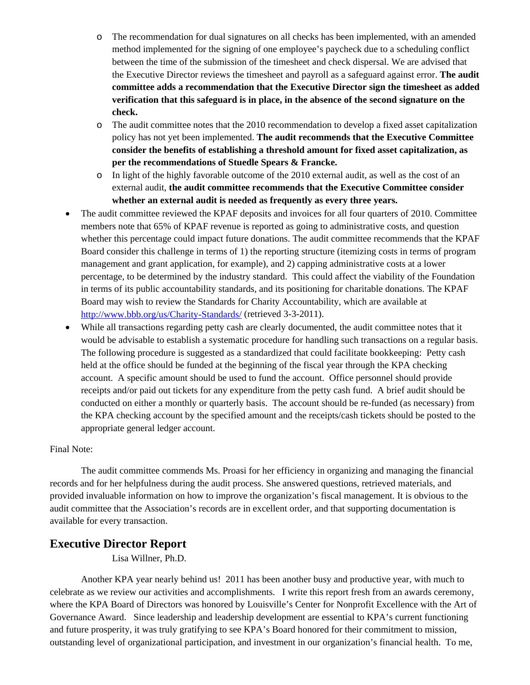- o The recommendation for dual signatures on all checks has been implemented, with an amended method implemented for the signing of one employee's paycheck due to a scheduling conflict between the time of the submission of the timesheet and check dispersal. We are advised that the Executive Director reviews the timesheet and payroll as a safeguard against error. **The audit committee adds a recommendation that the Executive Director sign the timesheet as added verification that this safeguard is in place, in the absence of the second signature on the check.**
- o The audit committee notes that the 2010 recommendation to develop a fixed asset capitalization policy has not yet been implemented. **The audit recommends that the Executive Committee consider the benefits of establishing a threshold amount for fixed asset capitalization, as per the recommendations of Stuedle Spears & Francke.**
- o In light of the highly favorable outcome of the 2010 external audit, as well as the cost of an external audit, **the audit committee recommends that the Executive Committee consider whether an external audit is needed as frequently as every three years.**
- The audit committee reviewed the KPAF deposits and invoices for all four quarters of 2010. Committee members note that 65% of KPAF revenue is reported as going to administrative costs, and question whether this percentage could impact future donations. The audit committee recommends that the KPAF Board consider this challenge in terms of 1) the reporting structure (itemizing costs in terms of program management and grant application, for example), and 2) capping administrative costs at a lower percentage, to be determined by the industry standard. This could affect the viability of the Foundation in terms of its public accountability standards, and its positioning for charitable donations. The KPAF Board may wish to review the Standards for Charity Accountability, which are available at http://www.bbb.org/us/Charity-Standards/ (retrieved 3-3-2011).
- While all transactions regarding petty cash are clearly documented, the audit committee notes that it would be advisable to establish a systematic procedure for handling such transactions on a regular basis. The following procedure is suggested as a standardized that could facilitate bookkeeping: Petty cash held at the office should be funded at the beginning of the fiscal year through the KPA checking account. A specific amount should be used to fund the account. Office personnel should provide receipts and/or paid out tickets for any expenditure from the petty cash fund. A brief audit should be conducted on either a monthly or quarterly basis. The account should be re-funded (as necessary) from the KPA checking account by the specified amount and the receipts/cash tickets should be posted to the appropriate general ledger account.

#### Final Note:

The audit committee commends Ms. Proasi for her efficiency in organizing and managing the financial records and for her helpfulness during the audit process. She answered questions, retrieved materials, and provided invaluable information on how to improve the organization's fiscal management. It is obvious to the audit committee that the Association's records are in excellent order, and that supporting documentation is available for every transaction.

# **Executive Director Report**

Lisa Willner, Ph.D.

Another KPA year nearly behind us! 2011 has been another busy and productive year, with much to celebrate as we review our activities and accomplishments. I write this report fresh from an awards ceremony, where the KPA Board of Directors was honored by Louisville's Center for Nonprofit Excellence with the Art of Governance Award. Since leadership and leadership development are essential to KPA's current functioning and future prosperity, it was truly gratifying to see KPA's Board honored for their commitment to mission, outstanding level of organizational participation, and investment in our organization's financial health. To me,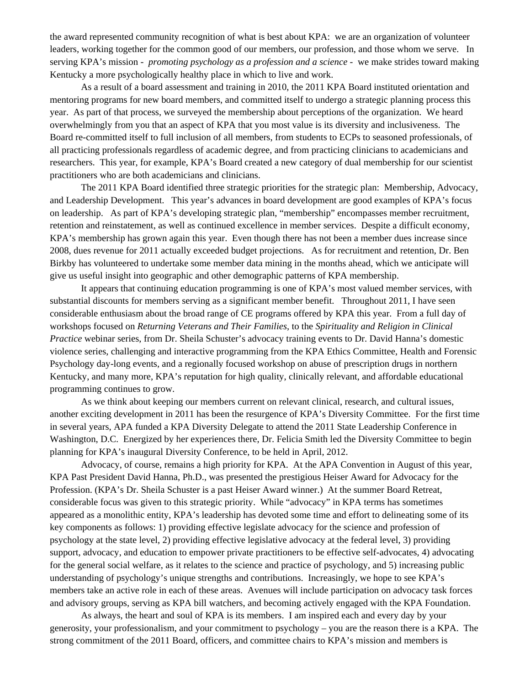the award represented community recognition of what is best about KPA: we are an organization of volunteer leaders, working together for the common good of our members, our profession, and those whom we serve. In serving KPA's mission - *promoting psychology as a profession and a science* - we make strides toward making Kentucky a more psychologically healthy place in which to live and work.

As a result of a board assessment and training in 2010, the 2011 KPA Board instituted orientation and mentoring programs for new board members, and committed itself to undergo a strategic planning process this year. As part of that process, we surveyed the membership about perceptions of the organization. We heard overwhelmingly from you that an aspect of KPA that you most value is its diversity and inclusiveness. The Board re-committed itself to full inclusion of all members, from students to ECPs to seasoned professionals, of all practicing professionals regardless of academic degree, and from practicing clinicians to academicians and researchers. This year, for example, KPA's Board created a new category of dual membership for our scientist practitioners who are both academicians and clinicians.

The 2011 KPA Board identified three strategic priorities for the strategic plan: Membership, Advocacy, and Leadership Development. This year's advances in board development are good examples of KPA's focus on leadership. As part of KPA's developing strategic plan, "membership" encompasses member recruitment, retention and reinstatement, as well as continued excellence in member services. Despite a difficult economy, KPA's membership has grown again this year. Even though there has not been a member dues increase since 2008, dues revenue for 2011 actually exceeded budget projections. As for recruitment and retention, Dr. Ben Birkby has volunteered to undertake some member data mining in the months ahead, which we anticipate will give us useful insight into geographic and other demographic patterns of KPA membership.

It appears that continuing education programming is one of KPA's most valued member services, with substantial discounts for members serving as a significant member benefit. Throughout 2011, I have seen considerable enthusiasm about the broad range of CE programs offered by KPA this year. From a full day of workshops focused on *Returning Veterans and Their Families*, to the *Spirituality and Religion in Clinical Practice* webinar series, from Dr. Sheila Schuster's advocacy training events to Dr. David Hanna's domestic violence series, challenging and interactive programming from the KPA Ethics Committee, Health and Forensic Psychology day-long events, and a regionally focused workshop on abuse of prescription drugs in northern Kentucky, and many more, KPA's reputation for high quality, clinically relevant, and affordable educational programming continues to grow.

As we think about keeping our members current on relevant clinical, research, and cultural issues, another exciting development in 2011 has been the resurgence of KPA's Diversity Committee. For the first time in several years, APA funded a KPA Diversity Delegate to attend the 2011 State Leadership Conference in Washington, D.C. Energized by her experiences there, Dr. Felicia Smith led the Diversity Committee to begin planning for KPA's inaugural Diversity Conference, to be held in April, 2012.

Advocacy, of course, remains a high priority for KPA. At the APA Convention in August of this year, KPA Past President David Hanna, Ph.D., was presented the prestigious Heiser Award for Advocacy for the Profession. (KPA's Dr. Sheila Schuster is a past Heiser Award winner.) At the summer Board Retreat, considerable focus was given to this strategic priority. While "advocacy" in KPA terms has sometimes appeared as a monolithic entity, KPA's leadership has devoted some time and effort to delineating some of its key components as follows: 1) providing effective legislate advocacy for the science and profession of psychology at the state level, 2) providing effective legislative advocacy at the federal level, 3) providing support, advocacy, and education to empower private practitioners to be effective self-advocates, 4) advocating for the general social welfare, as it relates to the science and practice of psychology, and 5) increasing public understanding of psychology's unique strengths and contributions. Increasingly, we hope to see KPA's members take an active role in each of these areas. Avenues will include participation on advocacy task forces and advisory groups, serving as KPA bill watchers, and becoming actively engaged with the KPA Foundation.

As always, the heart and soul of KPA is its members. I am inspired each and every day by your generosity, your professionalism, and your commitment to psychology – you are the reason there is a KPA. The strong commitment of the 2011 Board, officers, and committee chairs to KPA's mission and members is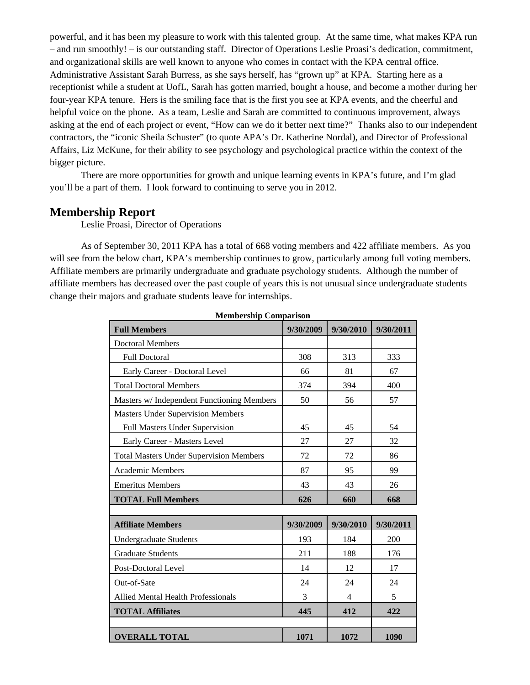powerful, and it has been my pleasure to work with this talented group. At the same time, what makes KPA run – and run smoothly! – is our outstanding staff. Director of Operations Leslie Proasi's dedication, commitment, and organizational skills are well known to anyone who comes in contact with the KPA central office. Administrative Assistant Sarah Burress, as she says herself, has "grown up" at KPA. Starting here as a receptionist while a student at UofL, Sarah has gotten married, bought a house, and become a mother during her four-year KPA tenure. Hers is the smiling face that is the first you see at KPA events, and the cheerful and helpful voice on the phone. As a team, Leslie and Sarah are committed to continuous improvement, always asking at the end of each project or event, "How can we do it better next time?" Thanks also to our independent contractors, the "iconic Sheila Schuster" (to quote APA's Dr. Katherine Nordal), and Director of Professional Affairs, Liz McKune, for their ability to see psychology and psychological practice within the context of the bigger picture.

There are more opportunities for growth and unique learning events in KPA's future, and I'm glad you'll be a part of them. I look forward to continuing to serve you in 2012.

#### **Membership Report**

Leslie Proasi, Director of Operations

As of September 30, 2011 KPA has a total of 668 voting members and 422 affiliate members. As you will see from the below chart, KPA's membership continues to grow, particularly among full voting members. Affiliate members are primarily undergraduate and graduate psychology students. Although the number of affiliate members has decreased over the past couple of years this is not unusual since undergraduate students change their majors and graduate students leave for internships.

| Membership Comparison                          |           |           |           |  |
|------------------------------------------------|-----------|-----------|-----------|--|
| <b>Full Members</b>                            | 9/30/2009 | 9/30/2010 | 9/30/2011 |  |
| <b>Doctoral Members</b>                        |           |           |           |  |
| <b>Full Doctoral</b>                           | 308       | 313       | 333       |  |
| Early Career - Doctoral Level                  | 66        | 81        | 67        |  |
| <b>Total Doctoral Members</b>                  | 374       | 394       | 400       |  |
| Masters w/ Independent Functioning Members     | 50        | 56        | 57        |  |
| <b>Masters Under Supervision Members</b>       |           |           |           |  |
| Full Masters Under Supervision                 | 45        | 45        | 54        |  |
| Early Career - Masters Level                   | 27        | 27        | 32        |  |
| <b>Total Masters Under Supervision Members</b> | 72        | 72        | 86        |  |
| <b>Academic Members</b>                        | 87        | 95        | 99        |  |
| <b>Emeritus Members</b>                        | 43        | 43        | 26        |  |
| <b>TOTAL Full Members</b>                      | 626       | 660       | 668       |  |
| <b>Affiliate Members</b>                       | 9/30/2009 | 9/30/2010 | 9/30/2011 |  |
| <b>Undergraduate Students</b>                  | 193       | 184       | 200       |  |
| <b>Graduate Students</b>                       | 211       | 188       | 176       |  |
| Post-Doctoral Level                            | 14        | 12        | 17        |  |
| Out-of-Sate                                    | 24        | 24        | 24        |  |
| <b>Allied Mental Health Professionals</b>      | 3         | 4         | 5         |  |
| <b>TOTAL Affiliates</b>                        | 445       | 412       | 422       |  |
|                                                |           |           |           |  |
| <b>OVERALL TOTAL</b>                           | 1071      | 1072      | 1090      |  |

**Membership Comparison**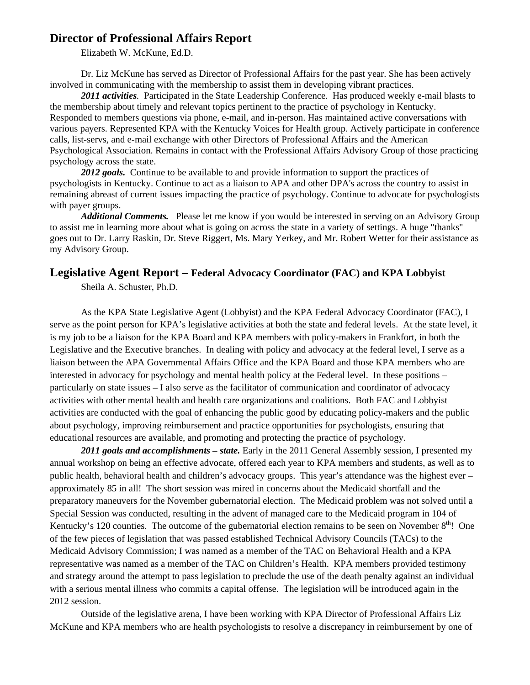# **Director of Professional Affairs Report**

Elizabeth W. McKune, Ed.D.

Dr. Liz McKune has served as Director of Professional Affairs for the past year. She has been actively involved in communicating with the membership to assist them in developing vibrant practices.

*2011 activities.* Participated in the State Leadership Conference. Has produced weekly e-mail blasts to the membership about timely and relevant topics pertinent to the practice of psychology in Kentucky. Responded to members questions via phone, e-mail, and in-person. Has maintained active conversations with various payers. Represented KPA with the Kentucky Voices for Health group. Actively participate in conference calls, list-servs, and e-mail exchange with other Directors of Professional Affairs and the American Psychological Association. Remains in contact with the Professional Affairs Advisory Group of those practicing psychology across the state.

2012 goals. Continue to be available to and provide information to support the practices of psychologists in Kentucky. Continue to act as a liaison to APA and other DPA's across the country to assist in remaining abreast of current issues impacting the practice of psychology. Continue to advocate for psychologists with payer groups.

*Additional Comments.* Please let me know if you would be interested in serving on an Advisory Group to assist me in learning more about what is going on across the state in a variety of settings. A huge "thanks" goes out to Dr. Larry Raskin, Dr. Steve Riggert, Ms. Mary Yerkey, and Mr. Robert Wetter for their assistance as my Advisory Group.

# **Legislative Agent Report – Federal Advocacy Coordinator (FAC) and KPA Lobbyist**

Sheila A. Schuster, Ph.D.

As the KPA State Legislative Agent (Lobbyist) and the KPA Federal Advocacy Coordinator (FAC), I serve as the point person for KPA's legislative activities at both the state and federal levels. At the state level, it is my job to be a liaison for the KPA Board and KPA members with policy-makers in Frankfort, in both the Legislative and the Executive branches. In dealing with policy and advocacy at the federal level, I serve as a liaison between the APA Governmental Affairs Office and the KPA Board and those KPA members who are interested in advocacy for psychology and mental health policy at the Federal level. In these positions – particularly on state issues – I also serve as the facilitator of communication and coordinator of advocacy activities with other mental health and health care organizations and coalitions. Both FAC and Lobbyist activities are conducted with the goal of enhancing the public good by educating policy-makers and the public about psychology, improving reimbursement and practice opportunities for psychologists, ensuring that educational resources are available, and promoting and protecting the practice of psychology.

*2011 goals and accomplishments – state.* Early in the 2011 General Assembly session, I presented my annual workshop on being an effective advocate, offered each year to KPA members and students, as well as to public health, behavioral health and children's advocacy groups. This year's attendance was the highest ever – approximately 85 in all! The short session was mired in concerns about the Medicaid shortfall and the preparatory maneuvers for the November gubernatorial election. The Medicaid problem was not solved until a Special Session was conducted, resulting in the advent of managed care to the Medicaid program in 104 of Kentucky's 120 counties. The outcome of the gubernatorial election remains to be seen on November  $8<sup>th</sup>$ ! One of the few pieces of legislation that was passed established Technical Advisory Councils (TACs) to the Medicaid Advisory Commission; I was named as a member of the TAC on Behavioral Health and a KPA representative was named as a member of the TAC on Children's Health. KPA members provided testimony and strategy around the attempt to pass legislation to preclude the use of the death penalty against an individual with a serious mental illness who commits a capital offense. The legislation will be introduced again in the 2012 session.

Outside of the legislative arena, I have been working with KPA Director of Professional Affairs Liz McKune and KPA members who are health psychologists to resolve a discrepancy in reimbursement by one of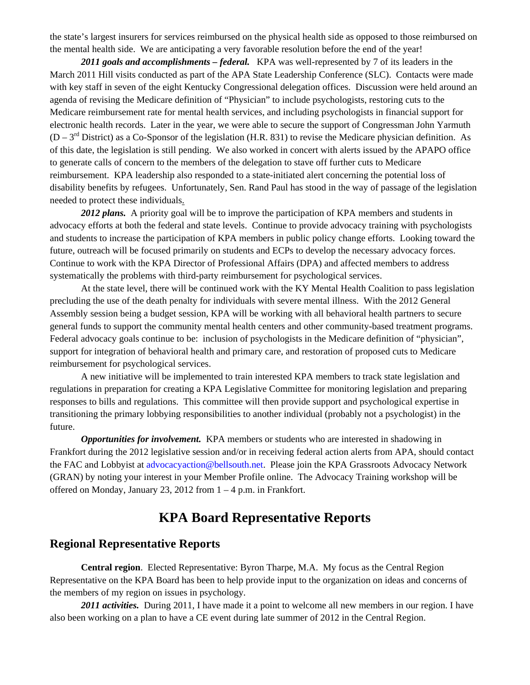the state's largest insurers for services reimbursed on the physical health side as opposed to those reimbursed on the mental health side. We are anticipating a very favorable resolution before the end of the year!

*2011 goals and accomplishments – federal.*KPA was well-represented by 7 of its leaders in the March 2011 Hill visits conducted as part of the APA State Leadership Conference (SLC). Contacts were made with key staff in seven of the eight Kentucky Congressional delegation offices. Discussion were held around an agenda of revising the Medicare definition of "Physician" to include psychologists, restoring cuts to the Medicare reimbursement rate for mental health services, and including psychologists in financial support for electronic health records. Later in the year, we were able to secure the support of Congressman John Yarmuth  $(D - 3<sup>rd</sup>$  District) as a Co-Sponsor of the legislation (H.R. 831) to revise the Medicare physician definition. As of this date, the legislation is still pending. We also worked in concert with alerts issued by the APAPO office to generate calls of concern to the members of the delegation to stave off further cuts to Medicare reimbursement. KPA leadership also responded to a state-initiated alert concerning the potential loss of disability benefits by refugees. Unfortunately, Sen. Rand Paul has stood in the way of passage of the legislation needed to protect these individuals.

*2012 plans.*A priority goal will be to improve the participation of KPA members and students in advocacy efforts at both the federal and state levels. Continue to provide advocacy training with psychologists and students to increase the participation of KPA members in public policy change efforts. Looking toward the future, outreach will be focused primarily on students and ECPs to develop the necessary advocacy forces. Continue to work with the KPA Director of Professional Affairs (DPA) and affected members to address systematically the problems with third-party reimbursement for psychological services.

At the state level, there will be continued work with the KY Mental Health Coalition to pass legislation precluding the use of the death penalty for individuals with severe mental illness. With the 2012 General Assembly session being a budget session, KPA will be working with all behavioral health partners to secure general funds to support the community mental health centers and other community-based treatment programs. Federal advocacy goals continue to be: inclusion of psychologists in the Medicare definition of "physician", support for integration of behavioral health and primary care, and restoration of proposed cuts to Medicare reimbursement for psychological services.

A new initiative will be implemented to train interested KPA members to track state legislation and regulations in preparation for creating a KPA Legislative Committee for monitoring legislation and preparing responses to bills and regulations. This committee will then provide support and psychological expertise in transitioning the primary lobbying responsibilities to another individual (probably not a psychologist) in the future.

*Opportunities for involvement.* KPA members or students who are interested in shadowing in Frankfort during the 2012 legislative session and/or in receiving federal action alerts from APA, should contact the FAC and Lobbyist at advocacyaction@bellsouth.net. Please join the KPA Grassroots Advocacy Network (GRAN) by noting your interest in your Member Profile online. The Advocacy Training workshop will be offered on Monday, January 23, 2012 from 1 – 4 p.m. in Frankfort.

# **KPA Board Representative Reports**

# **Regional Representative Reports**

**Central region**. Elected Representative: Byron Tharpe, M.A. My focus as the Central Region Representative on the KPA Board has been to help provide input to the organization on ideas and concerns of the members of my region on issues in psychology.

*2011 activities.* During 2011, I have made it a point to welcome all new members in our region. I have also been working on a plan to have a CE event during late summer of 2012 in the Central Region.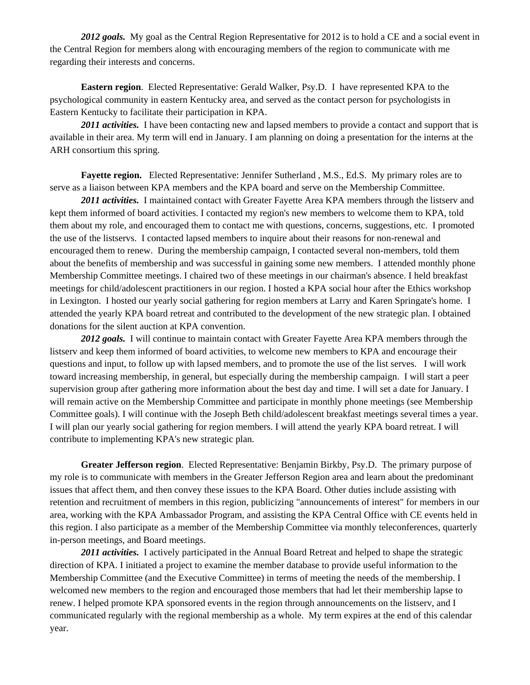2012 goals. My goal as the Central Region Representative for 2012 is to hold a CE and a social event in the Central Region for members along with encouraging members of the region to communicate with me regarding their interests and concerns.

**Eastern region.** Elected Representative: Gerald Walker, Psy.D. I have represented KPA to the psychological community in eastern Kentucky area, and served as the contact person for psychologists in Eastern Kentucky to facilitate their participation in KPA.

2011 *activities*. I have been contacting new and lapsed members to provide a contact and support that is available in their area. My term will end in January. I am planning on doing a presentation for the interns at the ARH consortium this spring.

**Fayette region.** Elected Representative: Jennifer Sutherland , M.S., Ed.S. My primary roles are to serve as a liaison between KPA members and the KPA board and serve on the Membership Committee.

*2011 activities.* I maintained contact with Greater Fayette Area KPA members through the listserv and kept them informed of board activities. I contacted my region's new members to welcome them to KPA, told them about my role, and encouraged them to contact me with questions, concerns, suggestions, etc. I promoted the use of the listservs. I contacted lapsed members to inquire about their reasons for non-renewal and encouraged them to renew. During the membership campaign, I contacted several non-members, told them about the benefits of membership and was successful in gaining some new members. I attended monthly phone Membership Committee meetings. I chaired two of these meetings in our chairman's absence. I held breakfast meetings for child/adolescent practitioners in our region. I hosted a KPA social hour after the Ethics workshop in Lexington. I hosted our yearly social gathering for region members at Larry and Karen Springate's home. I attended the yearly KPA board retreat and contributed to the development of the new strategic plan. I obtained donations for the silent auction at KPA convention.

2012 goals. I will continue to maintain contact with Greater Fayette Area KPA members through the listserv and keep them informed of board activities, to welcome new members to KPA and encourage their questions and input, to follow up with lapsed members, and to promote the use of the list serves. I will work toward increasing membership, in general, but especially during the membership campaign. I will start a peer supervision group after gathering more information about the best day and time. I will set a date for January. I will remain active on the Membership Committee and participate in monthly phone meetings (see Membership Committee goals). I will continue with the Joseph Beth child/adolescent breakfast meetings several times a year. I will plan our yearly social gathering for region members. I will attend the yearly KPA board retreat. I will contribute to implementing KPA's new strategic plan.

**Greater Jefferson region**. Elected Representative: Benjamin Birkby, Psy.D. The primary purpose of my role is to communicate with members in the Greater Jefferson Region area and learn about the predominant issues that affect them, and then convey these issues to the KPA Board. Other duties include assisting with retention and recruitment of members in this region, publicizing "announcements of interest" for members in our area, working with the KPA Ambassador Program, and assisting the KPA Central Office with CE events held in this region. I also participate as a member of the Membership Committee via monthly teleconferences, quarterly in-person meetings, and Board meetings.

*2011 activities.* I actively participated in the Annual Board Retreat and helped to shape the strategic direction of KPA. I initiated a project to examine the member database to provide useful information to the Membership Committee (and the Executive Committee) in terms of meeting the needs of the membership. I welcomed new members to the region and encouraged those members that had let their membership lapse to renew. I helped promote KPA sponsored events in the region through announcements on the listserv, and I communicated regularly with the regional membership as a whole. My term expires at the end of this calendar year.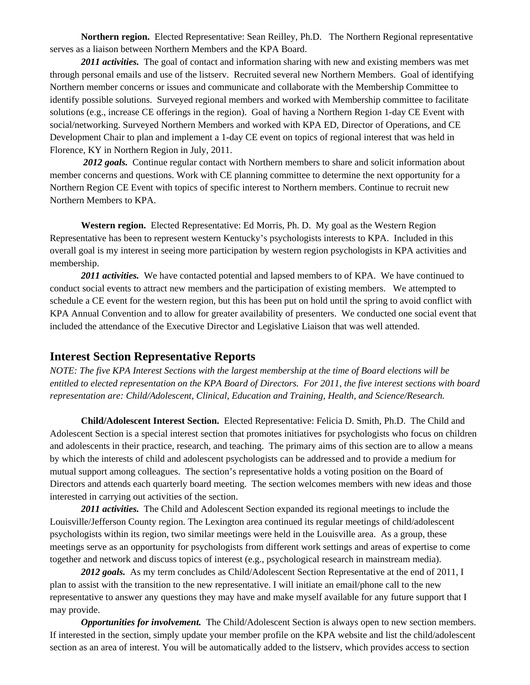**Northern region.** Elected Representative: Sean Reilley, Ph.D. The Northern Regional representative serves as a liaison between Northern Members and the KPA Board.

*2011 activities.* The goal of contact and information sharing with new and existing members was met through personal emails and use of the listserv. Recruited several new Northern Members. Goal of identifying Northern member concerns or issues and communicate and collaborate with the Membership Committee to identify possible solutions. Surveyed regional members and worked with Membership committee to facilitate solutions (e.g., increase CE offerings in the region). Goal of having a Northern Region 1-day CE Event with social/networking. Surveyed Northern Members and worked with KPA ED, Director of Operations, and CE Development Chair to plan and implement a 1-day CE event on topics of regional interest that was held in Florence, KY in Northern Region in July, 2011.

2012 goals. Continue regular contact with Northern members to share and solicit information about member concerns and questions. Work with CE planning committee to determine the next opportunity for a Northern Region CE Event with topics of specific interest to Northern members. Continue to recruit new Northern Members to KPA.

**Western region.** Elected Representative: Ed Morris, Ph. D. My goal as the Western Region Representative has been to represent western Kentucky's psychologists interests to KPA. Included in this overall goal is my interest in seeing more participation by western region psychologists in KPA activities and membership.

*2011 activities.* We have contacted potential and lapsed members to of KPA. We have continued to conduct social events to attract new members and the participation of existing members. We attempted to schedule a CE event for the western region, but this has been put on hold until the spring to avoid conflict with KPA Annual Convention and to allow for greater availability of presenters. We conducted one social event that included the attendance of the Executive Director and Legislative Liaison that was well attended.

#### **Interest Section Representative Reports**

*NOTE: The five KPA Interest Sections with the largest membership at the time of Board elections will be entitled to elected representation on the KPA Board of Directors. For 2011, the five interest sections with board representation are: Child/Adolescent, Clinical, Education and Training, Health, and Science/Research.* 

**Child/Adolescent Interest Section.** Elected Representative: Felicia D. Smith, Ph.D. The Child and Adolescent Section is a special interest section that promotes initiatives for psychologists who focus on children and adolescents in their practice, research, and teaching. The primary aims of this section are to allow a means by which the interests of child and adolescent psychologists can be addressed and to provide a medium for mutual support among colleagues. The section's representative holds a voting position on the Board of Directors and attends each quarterly board meeting. The section welcomes members with new ideas and those interested in carrying out activities of the section.

*2011 activities.* The Child and Adolescent Section expanded its regional meetings to include the Louisville/Jefferson County region. The Lexington area continued its regular meetings of child/adolescent psychologists within its region, two similar meetings were held in the Louisville area. As a group, these meetings serve as an opportunity for psychologists from different work settings and areas of expertise to come together and network and discuss topics of interest (e.g., psychological research in mainstream media).

2012 goals. As my term concludes as Child/Adolescent Section Representative at the end of 2011, I plan to assist with the transition to the new representative. I will initiate an email/phone call to the new representative to answer any questions they may have and make myself available for any future support that I may provide.

*Opportunities for involvement.* The Child/Adolescent Section is always open to new section members. If interested in the section, simply update your member profile on the KPA website and list the child/adolescent section as an area of interest. You will be automatically added to the listserv, which provides access to section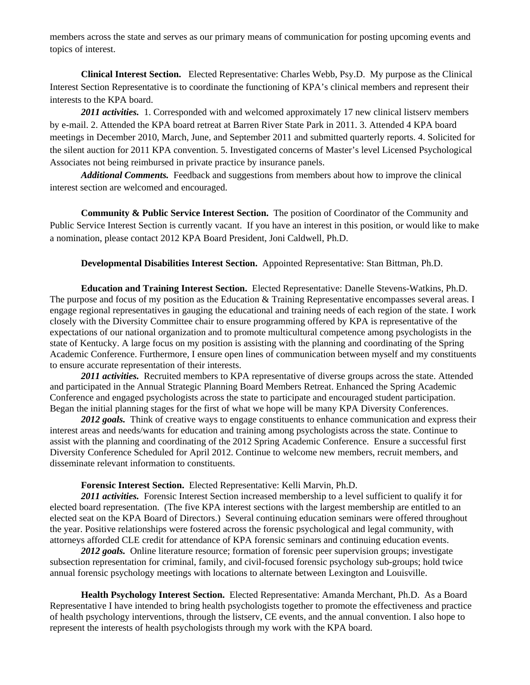members across the state and serves as our primary means of communication for posting upcoming events and topics of interest.

**Clinical Interest Section.** Elected Representative: Charles Webb, Psy.D. My purpose as the Clinical Interest Section Representative is to coordinate the functioning of KPA's clinical members and represent their interests to the KPA board.

2011 *activities.* 1. Corresponded with and welcomed approximately 17 new clinical listserv members by e-mail. 2. Attended the KPA board retreat at Barren River State Park in 2011. 3. Attended 4 KPA board meetings in December 2010, March, June, and September 2011 and submitted quarterly reports. 4. Solicited for the silent auction for 2011 KPA convention. 5. Investigated concerns of Master's level Licensed Psychological Associates not being reimbursed in private practice by insurance panels.

*Additional Comments.* Feedback and suggestions from members about how to improve the clinical interest section are welcomed and encouraged.

**Community & Public Service Interest Section.** The position of Coordinator of the Community and Public Service Interest Section is currently vacant. If you have an interest in this position, or would like to make a nomination, please contact 2012 KPA Board President, Joni Caldwell, Ph.D.

**Developmental Disabilities Interest Section.** Appointed Representative: Stan Bittman, Ph.D.

**Education and Training Interest Section.** Elected Representative: Danelle Stevens-Watkins, Ph.D. The purpose and focus of my position as the Education & Training Representative encompasses several areas. I engage regional representatives in gauging the educational and training needs of each region of the state. I work closely with the Diversity Committee chair to ensure programming offered by KPA is representative of the expectations of our national organization and to promote multicultural competence among psychologists in the state of Kentucky. A large focus on my position is assisting with the planning and coordinating of the Spring Academic Conference. Furthermore, I ensure open lines of communication between myself and my constituents to ensure accurate representation of their interests.

*2011 activities.* Recruited members to KPA representative of diverse groups across the state. Attended and participated in the Annual Strategic Planning Board Members Retreat. Enhanced the Spring Academic Conference and engaged psychologists across the state to participate and encouraged student participation. Began the initial planning stages for the first of what we hope will be many KPA Diversity Conferences.

2012 goals. Think of creative ways to engage constituents to enhance communication and express their interest areas and needs/wants for education and training among psychologists across the state. Continue to assist with the planning and coordinating of the 2012 Spring Academic Conference. Ensure a successful first Diversity Conference Scheduled for April 2012. Continue to welcome new members, recruit members, and disseminate relevant information to constituents.

**Forensic Interest Section.** Elected Representative: Kelli Marvin, Ph.D.

*2011 activities.* Forensic Interest Section increased membership to a level sufficient to qualify it for elected board representation. (The five KPA interest sections with the largest membership are entitled to an elected seat on the KPA Board of Directors.) Several continuing education seminars were offered throughout the year. Positive relationships were fostered across the forensic psychological and legal community, with attorneys afforded CLE credit for attendance of KPA forensic seminars and continuing education events.

2012 goals. Online literature resource; formation of forensic peer supervision groups; investigate subsection representation for criminal, family, and civil-focused forensic psychology sub-groups; hold twice annual forensic psychology meetings with locations to alternate between Lexington and Louisville.

**Health Psychology Interest Section.** Elected Representative: Amanda Merchant, Ph.D. As a Board Representative I have intended to bring health psychologists together to promote the effectiveness and practice of health psychology interventions, through the listserv, CE events, and the annual convention. I also hope to represent the interests of health psychologists through my work with the KPA board.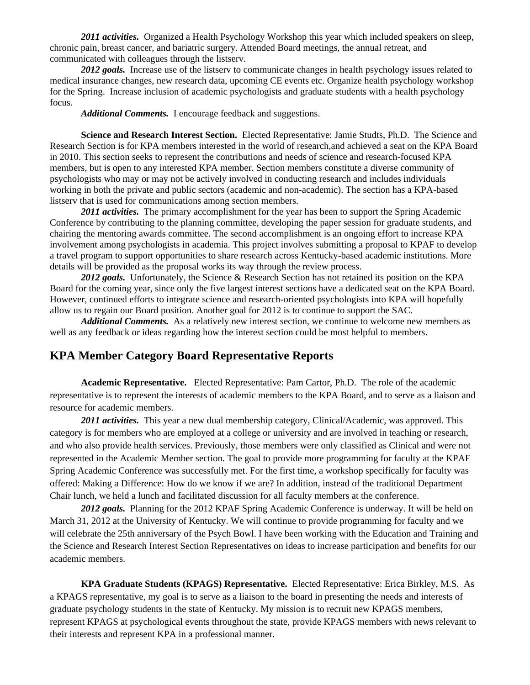*2011 activities.* Organized a Health Psychology Workshop this year which included speakers on sleep, chronic pain, breast cancer, and bariatric surgery. Attended Board meetings, the annual retreat, and communicated with colleagues through the listserv.

2012 goals. Increase use of the listserv to communicate changes in health psychology issues related to medical insurance changes, new research data, upcoming CE events etc. Organize health psychology workshop for the Spring. Increase inclusion of academic psychologists and graduate students with a health psychology focus.

*Additional Comments.* I encourage feedback and suggestions.

**Science and Research Interest Section.** Elected Representative: Jamie Studts, Ph.D.The Science and Research Section is for KPA members interested in the world of research,and achieved a seat on the KPA Board in 2010. This section seeks to represent the contributions and needs of science and research-focused KPA members, but is open to any interested KPA member. Section members constitute a diverse community of psychologists who may or may not be actively involved in conducting research and includes individuals working in both the private and public sectors (academic and non-academic). The section has a KPA-based listserv that is used for communications among section members.

*2011 activities.* The primary accomplishment for the year has been to support the Spring Academic Conference by contributing to the planning committee, developing the paper session for graduate students, and chairing the mentoring awards committee. The second accomplishment is an ongoing effort to increase KPA involvement among psychologists in academia. This project involves submitting a proposal to KPAF to develop a travel program to support opportunities to share research across Kentucky-based academic institutions. More details will be provided as the proposal works its way through the review process.

2012 goals. Unfortunately, the Science & Research Section has not retained its position on the KPA Board for the coming year, since only the five largest interest sections have a dedicated seat on the KPA Board. However, continued efforts to integrate science and research-oriented psychologists into KPA will hopefully allow us to regain our Board position. Another goal for 2012 is to continue to support the SAC.

*Additional Comments.* As a relatively new interest section, we continue to welcome new members as well as any feedback or ideas regarding how the interest section could be most helpful to members.

#### **KPA Member Category Board Representative Reports**

**Academic Representative.** Elected Representative: Pam Cartor, Ph.D. The role of the academic representative is to represent the interests of academic members to the KPA Board, and to serve as a liaison and resource for academic members.

*2011 activities.* This year a new dual membership category, Clinical/Academic, was approved. This category is for members who are employed at a college or university and are involved in teaching or research, and who also provide health services. Previously, those members were only classified as Clinical and were not represented in the Academic Member section. The goal to provide more programming for faculty at the KPAF Spring Academic Conference was successfully met. For the first time, a workshop specifically for faculty was offered: Making a Difference: How do we know if we are? In addition, instead of the traditional Department Chair lunch, we held a lunch and facilitated discussion for all faculty members at the conference.

2012 goals. Planning for the 2012 KPAF Spring Academic Conference is underway. It will be held on March 31, 2012 at the University of Kentucky. We will continue to provide programming for faculty and we will celebrate the 25th anniversary of the Psych Bowl. I have been working with the Education and Training and the Science and Research Interest Section Representatives on ideas to increase participation and benefits for our academic members.

**KPA Graduate Students (KPAGS) Representative.** Elected Representative: Erica Birkley, M.S. As a KPAGS representative, my goal is to serve as a liaison to the board in presenting the needs and interests of graduate psychology students in the state of Kentucky. My mission is to recruit new KPAGS members, represent KPAGS at psychological events throughout the state, provide KPAGS members with news relevant to their interests and represent KPA in a professional manner.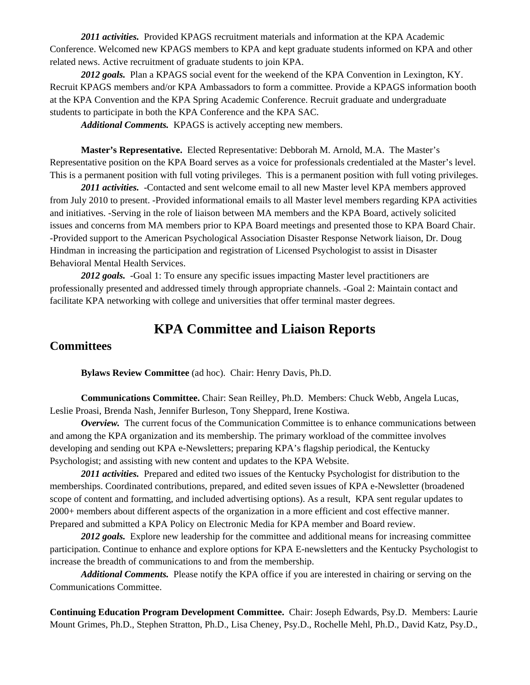*2011 activities.* Provided KPAGS recruitment materials and information at the KPA Academic Conference. Welcomed new KPAGS members to KPA and kept graduate students informed on KPA and other related news. Active recruitment of graduate students to join KPA.

*2012 goals.* Plan a KPAGS social event for the weekend of the KPA Convention in Lexington, KY. Recruit KPAGS members and/or KPA Ambassadors to form a committee. Provide a KPAGS information booth at the KPA Convention and the KPA Spring Academic Conference. Recruit graduate and undergraduate students to participate in both the KPA Conference and the KPA SAC.

*Additional Comments.* KPAGS is actively accepting new members.

**Master's Representative.** Elected Representative: Debborah M. Arnold, M.A. The Master's Representative position on the KPA Board serves as a voice for professionals credentialed at the Master's level. This is a permanent position with full voting privileges. This is a permanent position with full voting privileges.

*2011 activities.* -Contacted and sent welcome email to all new Master level KPA members approved from July 2010 to present. -Provided informational emails to all Master level members regarding KPA activities and initiatives. -Serving in the role of liaison between MA members and the KPA Board, actively solicited issues and concerns from MA members prior to KPA Board meetings and presented those to KPA Board Chair. -Provided support to the American Psychological Association Disaster Response Network liaison, Dr. Doug Hindman in increasing the participation and registration of Licensed Psychologist to assist in Disaster Behavioral Mental Health Services.

2012 goals. -Goal 1: To ensure any specific issues impacting Master level practitioners are professionally presented and addressed timely through appropriate channels. -Goal 2: Maintain contact and facilitate KPA networking with college and universities that offer terminal master degrees.

# **KPA Committee and Liaison Reports**

# **Committees**

**Bylaws Review Committee** (ad hoc). Chair: Henry Davis, Ph.D.

**Communications Committee.** Chair: Sean Reilley, Ph.D. Members: Chuck Webb, Angela Lucas, Leslie Proasi, Brenda Nash, Jennifer Burleson, Tony Sheppard, Irene Kostiwa.

*Overview.* The current focus of the Communication Committee is to enhance communications between and among the KPA organization and its membership. The primary workload of the committee involves developing and sending out KPA e-Newsletters; preparing KPA's flagship periodical, the Kentucky Psychologist; and assisting with new content and updates to the KPA Website.

*2011 activities.* Prepared and edited two issues of the Kentucky Psychologist for distribution to the memberships. Coordinated contributions, prepared, and edited seven issues of KPA e-Newsletter (broadened scope of content and formatting, and included advertising options). As a result, KPA sent regular updates to 2000+ members about different aspects of the organization in a more efficient and cost effective manner. Prepared and submitted a KPA Policy on Electronic Media for KPA member and Board review.

2012 goals. Explore new leadership for the committee and additional means for increasing committee participation. Continue to enhance and explore options for KPA E-newsletters and the Kentucky Psychologist to increase the breadth of communications to and from the membership.

*Additional Comments.* Please notify the KPA office if you are interested in chairing or serving on the Communications Committee.

**Continuing Education Program Development Committee.** Chair: Joseph Edwards, Psy.D. Members: Laurie Mount Grimes, Ph.D., Stephen Stratton, Ph.D., Lisa Cheney, Psy.D., Rochelle Mehl, Ph.D., David Katz, Psy.D.,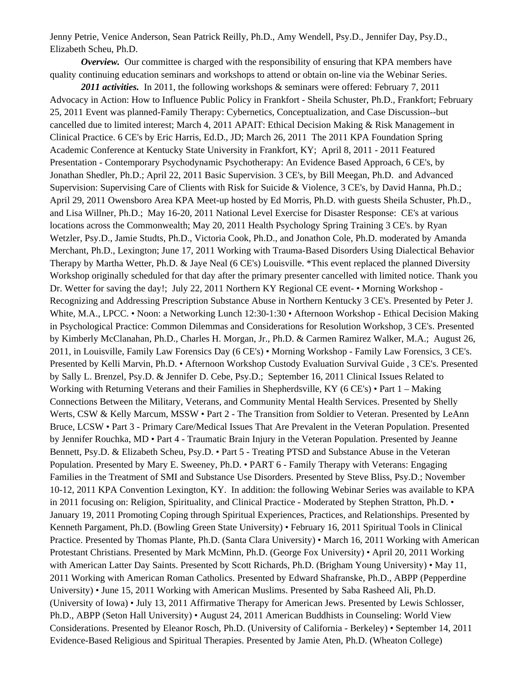Jenny Petrie, Venice Anderson, Sean Patrick Reilly, Ph.D., Amy Wendell, Psy.D., Jennifer Day, Psy.D., Elizabeth Scheu, Ph.D.

*Overview.* Our committee is charged with the responsibility of ensuring that KPA members have quality continuing education seminars and workshops to attend or obtain on-line via the Webinar Series.

*2011 activities.* In 2011, the following workshops & seminars were offered: February 7, 2011 Advocacy in Action: How to Influence Public Policy in Frankfort - Sheila Schuster, Ph.D., Frankfort; February 25, 2011 Event was planned-Family Therapy: Cybernetics, Conceptualization, and Case Discussion--but cancelled due to limited interest; March 4, 2011 APAIT: Ethical Decision Making & Risk Management in Clinical Practice. 6 CE's by Eric Harris, Ed.D., JD; March 26, 2011 The 2011 KPA Foundation Spring Academic Conference at Kentucky State University in Frankfort, KY; April 8, 2011 - 2011 Featured Presentation - Contemporary Psychodynamic Psychotherapy: An Evidence Based Approach, 6 CE's, by Jonathan Shedler, Ph.D.; April 22, 2011 Basic Supervision. 3 CE's, by Bill Meegan, Ph.D. and Advanced Supervision: Supervising Care of Clients with Risk for Suicide & Violence, 3 CE's, by David Hanna, Ph.D.; April 29, 2011 Owensboro Area KPA Meet-up hosted by Ed Morris, Ph.D. with guests Sheila Schuster, Ph.D., and Lisa Willner, Ph.D.; May 16-20, 2011 National Level Exercise for Disaster Response: CE's at various locations across the Commonwealth; May 20, 2011 Health Psychology Spring Training 3 CE's. by Ryan Wetzler, Psy.D., Jamie Studts, Ph.D., Victoria Cook, Ph.D., and Jonathon Cole, Ph.D. moderated by Amanda Merchant, Ph.D., Lexington; June 17, 2011 Working with Trauma-Based Disorders Using Dialectical Behavior Therapy by Martha Wetter, Ph.D. & Jaye Neal (6 CE's) Louisville. \*This event replaced the planned Diversity Workshop originally scheduled for that day after the primary presenter cancelled with limited notice. Thank you Dr. Wetter for saving the day!; July 22, 2011 Northern KY Regional CE event- • Morning Workshop - Recognizing and Addressing Prescription Substance Abuse in Northern Kentucky 3 CE's. Presented by Peter J. White, M.A., LPCC. • Noon: a Networking Lunch 12:30-1:30 • Afternoon Workshop - Ethical Decision Making in Psychological Practice: Common Dilemmas and Considerations for Resolution Workshop, 3 CE's. Presented by Kimberly McClanahan, Ph.D., Charles H. Morgan, Jr., Ph.D. & Carmen Ramirez Walker, M.A.; August 26, 2011, in Louisville, Family Law Forensics Day (6 CE's) • Morning Workshop - Family Law Forensics, 3 CE's. Presented by Kelli Marvin, Ph.D. • Afternoon Workshop Custody Evaluation Survival Guide , 3 CE's. Presented by Sally L. Brenzel, Psy.D. & Jennifer D. Cebe, Psy.D.; September 16, 2011 Clinical Issues Related to Working with Returning Veterans and their Families in Shepherdsville, KY (6 CE's) • Part 1 – Making Connections Between the Military, Veterans, and Community Mental Health Services. Presented by Shelly Werts, CSW & Kelly Marcum, MSSW • Part 2 - The Transition from Soldier to Veteran. Presented by LeAnn Bruce, LCSW • Part 3 - Primary Care/Medical Issues That Are Prevalent in the Veteran Population. Presented by Jennifer Rouchka, MD • Part 4 - Traumatic Brain Injury in the Veteran Population. Presented by Jeanne Bennett, Psy.D. & Elizabeth Scheu, Psy.D. • Part 5 - Treating PTSD and Substance Abuse in the Veteran Population. Presented by Mary E. Sweeney, Ph.D. • PART 6 - Family Therapy with Veterans: Engaging Families in the Treatment of SMI and Substance Use Disorders. Presented by Steve Bliss, Psy.D.; November 10-12, 2011 KPA Convention Lexington, KY. In addition: the following Webinar Series was available to KPA in 2011 focusing on: Religion, Spirituality, and Clinical Practice - Moderated by Stephen Stratton, Ph.D. • January 19, 2011 Promoting Coping through Spiritual Experiences, Practices, and Relationships. Presented by Kenneth Pargament, Ph.D. (Bowling Green State University) • February 16, 2011 Spiritual Tools in Clinical Practice. Presented by Thomas Plante, Ph.D. (Santa Clara University) • March 16, 2011 Working with American Protestant Christians. Presented by Mark McMinn, Ph.D. (George Fox University) • April 20, 2011 Working with American Latter Day Saints. Presented by Scott Richards, Ph.D. (Brigham Young University) • May 11, 2011 Working with American Roman Catholics. Presented by Edward Shafranske, Ph.D., ABPP (Pepperdine University) • June 15, 2011 Working with American Muslims. Presented by Saba Rasheed Ali, Ph.D. (University of Iowa) • July 13, 2011 Affirmative Therapy for American Jews. Presented by Lewis Schlosser, Ph.D., ABPP (Seton Hall University) • August 24, 2011 American Buddhists in Counseling: World View Considerations. Presented by Eleanor Rosch, Ph.D. (University of California - Berkeley) • September 14, 2011 Evidence-Based Religious and Spiritual Therapies. Presented by Jamie Aten, Ph.D. (Wheaton College)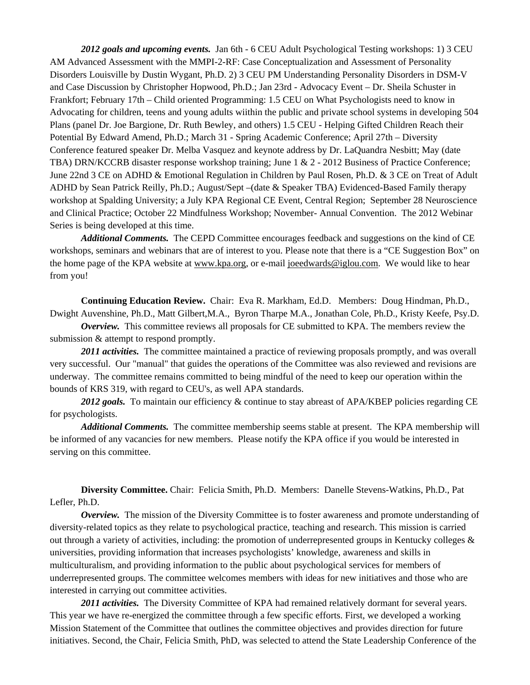*2012 goals and upcoming events.* Jan 6th - 6 CEU Adult Psychological Testing workshops: 1) 3 CEU AM Advanced Assessment with the MMPI-2-RF: Case Conceptualization and Assessment of Personality Disorders Louisville by Dustin Wygant, Ph.D. 2) 3 CEU PM Understanding Personality Disorders in DSM-V and Case Discussion by Christopher Hopwood, Ph.D.; Jan 23rd - Advocacy Event – Dr. Sheila Schuster in Frankfort; February 17th – Child oriented Programming: 1.5 CEU on What Psychologists need to know in Advocating for children, teens and young adults wiithin the public and private school systems in developing 504 Plans (panel Dr. Joe Bargione, Dr. Ruth Bewley, and others) 1.5 CEU - Helping Gifted Children Reach their Potential By Edward Amend, Ph.D.; March 31 - Spring Academic Conference; April 27th – Diversity Conference featured speaker Dr. Melba Vasquez and keynote address by Dr. LaQuandra Nesbitt; May (date TBA) DRN/KCCRB disaster response workshop training; June 1 & 2 - 2012 Business of Practice Conference; June 22nd 3 CE on ADHD & Emotional Regulation in Children by Paul Rosen, Ph.D. & 3 CE on Treat of Adult ADHD by Sean Patrick Reilly, Ph.D.; August/Sept –(date & Speaker TBA) Evidenced-Based Family therapy workshop at Spalding University; a July KPA Regional CE Event, Central Region; September 28 Neuroscience and Clinical Practice; October 22 Mindfulness Workshop; November- Annual Convention. The 2012 Webinar Series is being developed at this time.

*Additional Comments.* The CEPD Committee encourages feedback and suggestions on the kind of CE workshops, seminars and webinars that are of interest to you. Please note that there is a "CE Suggestion Box" on the home page of the KPA website at www.kpa.org, or e-mail joeedwards@iglou.com. We would like to hear from you!

**Continuing Education Review.** Chair: Eva R. Markham, Ed.D. Members: Doug Hindman, Ph.D., Dwight Auvenshine, Ph.D., Matt Gilbert,M.A., Byron Tharpe M.A., Jonathan Cole, Ph.D., Kristy Keefe, Psy.D.

*Overview.* This committee reviews all proposals for CE submitted to KPA. The members review the submission  $&$  attempt to respond promptly.

2011 *activities*. The committee maintained a practice of reviewing proposals promptly, and was overall very successful. Our "manual" that guides the operations of the Committee was also reviewed and revisions are underway. The committee remains committed to being mindful of the need to keep our operation within the bounds of KRS 319, with regard to CEU's, as well APA standards.

2012 goals. To maintain our efficiency & continue to stay abreast of APA/KBEP policies regarding CE for psychologists.

*Additional Comments.* The committee membership seems stable at present. The KPA membership will be informed of any vacancies for new members. Please notify the KPA office if you would be interested in serving on this committee.

**Diversity Committee.** Chair: Felicia Smith, Ph.D. Members: Danelle Stevens-Watkins, Ph.D., Pat Lefler, Ph.D.

*Overview.* The mission of the Diversity Committee is to foster awareness and promote understanding of diversity-related topics as they relate to psychological practice, teaching and research. This mission is carried out through a variety of activities, including: the promotion of underrepresented groups in Kentucky colleges  $\&$ universities, providing information that increases psychologists' knowledge, awareness and skills in multiculturalism, and providing information to the public about psychological services for members of underrepresented groups. The committee welcomes members with ideas for new initiatives and those who are interested in carrying out committee activities.

*2011 activities.* The Diversity Committee of KPA had remained relatively dormant for several years. This year we have re-energized the committee through a few specific efforts. First, we developed a working Mission Statement of the Committee that outlines the committee objectives and provides direction for future initiatives. Second, the Chair, Felicia Smith, PhD, was selected to attend the State Leadership Conference of the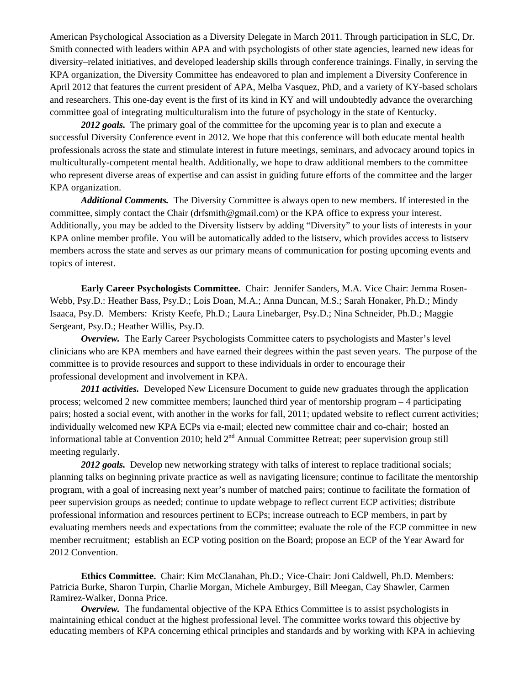American Psychological Association as a Diversity Delegate in March 2011. Through participation in SLC, Dr. Smith connected with leaders within APA and with psychologists of other state agencies, learned new ideas for diversity–related initiatives, and developed leadership skills through conference trainings. Finally, in serving the KPA organization, the Diversity Committee has endeavored to plan and implement a Diversity Conference in April 2012 that features the current president of APA, Melba Vasquez, PhD, and a variety of KY-based scholars and researchers. This one-day event is the first of its kind in KY and will undoubtedly advance the overarching committee goal of integrating multiculturalism into the future of psychology in the state of Kentucky.

2012 goals. The primary goal of the committee for the upcoming year is to plan and execute a successful Diversity Conference event in 2012. We hope that this conference will both educate mental health professionals across the state and stimulate interest in future meetings, seminars, and advocacy around topics in multiculturally-competent mental health. Additionally, we hope to draw additional members to the committee who represent diverse areas of expertise and can assist in guiding future efforts of the committee and the larger KPA organization.

*Additional Comments.* The Diversity Committee is always open to new members. If interested in the committee, simply contact the Chair (drfsmith@gmail.com) or the KPA office to express your interest. Additionally, you may be added to the Diversity listserv by adding "Diversity" to your lists of interests in your KPA online member profile. You will be automatically added to the listserv, which provides access to listserv members across the state and serves as our primary means of communication for posting upcoming events and topics of interest.

**Early Career Psychologists Committee.** Chair: Jennifer Sanders, M.A. Vice Chair: Jemma Rosen-Webb, Psy.D.: Heather Bass, Psy.D.; Lois Doan, M.A.; Anna Duncan, M.S.; Sarah Honaker, Ph.D.; Mindy Isaaca, Psy.D. Members: Kristy Keefe, Ph.D.; Laura Linebarger, Psy.D.; Nina Schneider, Ph.D.; Maggie Sergeant, Psy.D.; Heather Willis, Psy.D.

*Overview.* The Early Career Psychologists Committee caters to psychologists and Master's level clinicians who are KPA members and have earned their degrees within the past seven years. The purpose of the committee is to provide resources and support to these individuals in order to encourage their professional development and involvement in KPA.

2011 *activities.* Developed New Licensure Document to guide new graduates through the application process; welcomed 2 new committee members; launched third year of mentorship program – 4 participating pairs; hosted a social event, with another in the works for fall, 2011; updated website to reflect current activities; individually welcomed new KPA ECPs via e-mail; elected new committee chair and co-chair; hosted an informational table at Convention 2010; held  $2<sup>nd</sup>$  Annual Committee Retreat; peer supervision group still meeting regularly.

2012 goals. Develop new networking strategy with talks of interest to replace traditional socials; planning talks on beginning private practice as well as navigating licensure; continue to facilitate the mentorship program, with a goal of increasing next year's number of matched pairs; continue to facilitate the formation of peer supervision groups as needed; continue to update webpage to reflect current ECP activities; distribute professional information and resources pertinent to ECPs; increase outreach to ECP members, in part by evaluating members needs and expectations from the committee; evaluate the role of the ECP committee in new member recruitment; establish an ECP voting position on the Board; propose an ECP of the Year Award for 2012 Convention.

**Ethics Committee.** Chair: Kim McClanahan, Ph.D.; Vice-Chair: Joni Caldwell, Ph.D. Members: Patricia Burke, Sharon Turpin, Charlie Morgan, Michele Amburgey, Bill Meegan, Cay Shawler, Carmen Ramirez-Walker, Donna Price.

*Overview.* The fundamental objective of the KPA Ethics Committee is to assist psychologists in maintaining ethical conduct at the highest professional level. The committee works toward this objective by educating members of KPA concerning ethical principles and standards and by working with KPA in achieving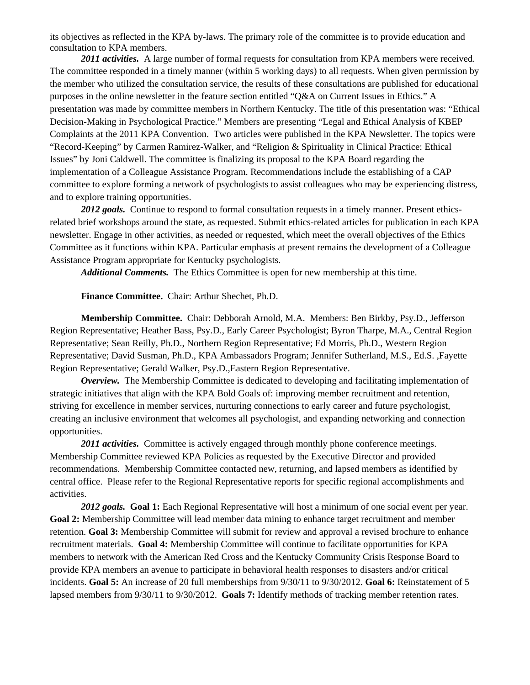its objectives as reflected in the KPA by-laws. The primary role of the committee is to provide education and consultation to KPA members.

2011 *activities.* A large number of formal requests for consultation from KPA members were received. The committee responded in a timely manner (within 5 working days) to all requests. When given permission by the member who utilized the consultation service, the results of these consultations are published for educational purposes in the online newsletter in the feature section entitled "Q&A on Current Issues in Ethics." A presentation was made by committee members in Northern Kentucky. The title of this presentation was: "Ethical Decision-Making in Psychological Practice." Members are presenting "Legal and Ethical Analysis of KBEP Complaints at the 2011 KPA Convention. Two articles were published in the KPA Newsletter. The topics were "Record-Keeping" by Carmen Ramirez-Walker, and "Religion & Spirituality in Clinical Practice: Ethical Issues" by Joni Caldwell. The committee is finalizing its proposal to the KPA Board regarding the implementation of a Colleague Assistance Program. Recommendations include the establishing of a CAP committee to explore forming a network of psychologists to assist colleagues who may be experiencing distress, and to explore training opportunities.

2012 goals. Continue to respond to formal consultation requests in a timely manner. Present ethicsrelated brief workshops around the state, as requested. Submit ethics-related articles for publication in each KPA newsletter. Engage in other activities, as needed or requested, which meet the overall objectives of the Ethics Committee as it functions within KPA. Particular emphasis at present remains the development of a Colleague Assistance Program appropriate for Kentucky psychologists.

*Additional Comments.* The Ethics Committee is open for new membership at this time.

**Finance Committee.** Chair: Arthur Shechet, Ph.D.

**Membership Committee.** Chair: Debborah Arnold, M.A. Members: Ben Birkby, Psy.D., Jefferson Region Representative; Heather Bass, Psy.D., Early Career Psychologist; Byron Tharpe, M.A., Central Region Representative; Sean Reilly, Ph.D., Northern Region Representative; Ed Morris, Ph.D., Western Region Representative; David Susman, Ph.D., KPA Ambassadors Program; Jennifer Sutherland, M.S., Ed.S. ,Fayette Region Representative; Gerald Walker, Psy.D.,Eastern Region Representative.

*Overview.* The Membership Committee is dedicated to developing and facilitating implementation of strategic initiatives that align with the KPA Bold Goals of: improving member recruitment and retention, striving for excellence in member services, nurturing connections to early career and future psychologist, creating an inclusive environment that welcomes all psychologist, and expanding networking and connection opportunities.

2011 *activities*. Committee is actively engaged through monthly phone conference meetings. Membership Committee reviewed KPA Policies as requested by the Executive Director and provided recommendations. Membership Committee contacted new, returning, and lapsed members as identified by central office. Please refer to the Regional Representative reports for specific regional accomplishments and activities.

*2012 goals.* **Goal 1:** Each Regional Representative will host a minimum of one social event per year. **Goal 2:** Membership Committee will lead member data mining to enhance target recruitment and member retention. **Goal 3:** Membership Committee will submit for review and approval a revised brochure to enhance recruitment materials. **Goal 4:** Membership Committee will continue to facilitate opportunities for KPA members to network with the American Red Cross and the Kentucky Community Crisis Response Board to provide KPA members an avenue to participate in behavioral health responses to disasters and/or critical incidents. **Goal 5:** An increase of 20 full memberships from 9/30/11 to 9/30/2012. **Goal 6:** Reinstatement of 5 lapsed members from 9/30/11 to 9/30/2012. **Goals 7:** Identify methods of tracking member retention rates.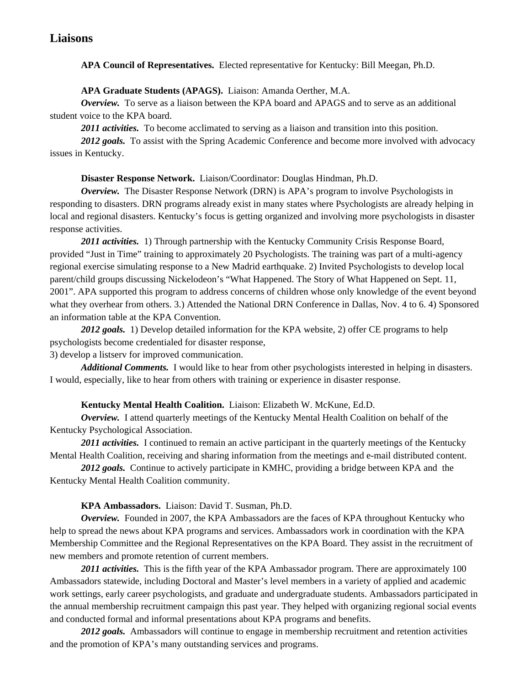# **Liaisons**

**APA Council of Representatives.** Elected representative for Kentucky: Bill Meegan, Ph.D.

#### **APA Graduate Students (APAGS).** Liaison: Amanda Oerther, M.A.

*Overview.* To serve as a liaison between the KPA board and APAGS and to serve as an additional student voice to the KPA board.

2011 *activities*. To become acclimated to serving as a liaison and transition into this position.

2012 goals. To assist with the Spring Academic Conference and become more involved with advocacy issues in Kentucky.

#### **Disaster Response Network.** Liaison/Coordinator: Douglas Hindman, Ph.D.

*Overview.* The Disaster Response Network (DRN) is APA's program to involve Psychologists in responding to disasters. DRN programs already exist in many states where Psychologists are already helping in local and regional disasters. Kentucky's focus is getting organized and involving more psychologists in disaster response activities.

*2011 activities.* 1) Through partnership with the Kentucky Community Crisis Response Board, provided "Just in Time" training to approximately 20 Psychologists. The training was part of a multi-agency regional exercise simulating response to a New Madrid earthquake. 2) Invited Psychologists to develop local parent/child groups discussing Nickelodeon's "What Happened. The Story of What Happened on Sept. 11, 2001". APA supported this program to address concerns of children whose only knowledge of the event beyond what they overhear from others. 3.) Attended the National DRN Conference in Dallas, Nov. 4 to 6. 4) Sponsored an information table at the KPA Convention.

*2012 goals.* 1) Develop detailed information for the KPA website, 2) offer CE programs to help psychologists become credentialed for disaster response,

#### 3) develop a listserv for improved communication.

*Additional Comments.* I would like to hear from other psychologists interested in helping in disasters. I would, especially, like to hear from others with training or experience in disaster response.

#### **Kentucky Mental Health Coalition.** Liaison: Elizabeth W. McKune, Ed.D.

*Overview.* I attend quarterly meetings of the Kentucky Mental Health Coalition on behalf of the Kentucky Psychological Association.

2011 *activities*. I continued to remain an active participant in the quarterly meetings of the Kentucky Mental Health Coalition, receiving and sharing information from the meetings and e-mail distributed content.

*2012 goals.* Continue to actively participate in KMHC, providing a bridge between KPA and the Kentucky Mental Health Coalition community.

#### **KPA Ambassadors.** Liaison: David T. Susman, Ph.D.

*Overview.* Founded in 2007, the KPA Ambassadors are the faces of KPA throughout Kentucky who help to spread the news about KPA programs and services. Ambassadors work in coordination with the KPA Membership Committee and the Regional Representatives on the KPA Board. They assist in the recruitment of new members and promote retention of current members.

*2011 activities.* This is the fifth year of the KPA Ambassador program. There are approximately 100 Ambassadors statewide, including Doctoral and Master's level members in a variety of applied and academic work settings, early career psychologists, and graduate and undergraduate students. Ambassadors participated in the annual membership recruitment campaign this past year. They helped with organizing regional social events and conducted formal and informal presentations about KPA programs and benefits.

2012 goals. Ambassadors will continue to engage in membership recruitment and retention activities and the promotion of KPA's many outstanding services and programs.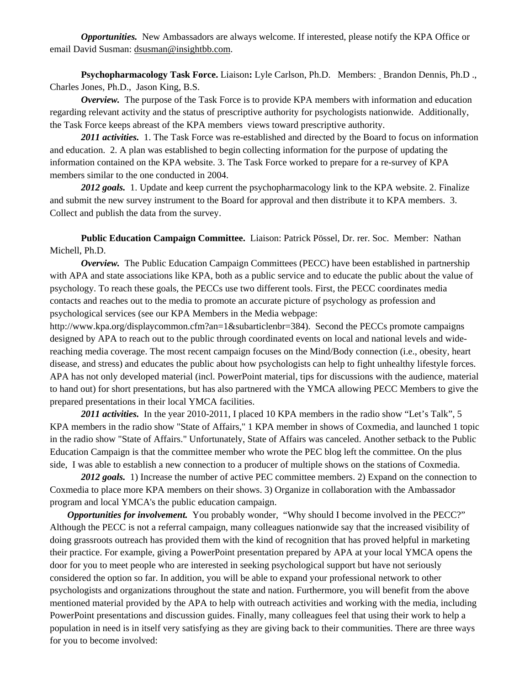*Opportunities.* New Ambassadors are always welcome. If interested, please notify the KPA Office or email David Susman: dsusman@insightbb.com.

**Psychopharmacology Task Force.** Liaison**:** Lyle Carlson, Ph.D. Members: Brandon Dennis, Ph.D ., Charles Jones, Ph.D., Jason King, B.S.

*Overview.* The purpose of the Task Force is to provide KPA members with information and education regarding relevant activity and the status of prescriptive authority for psychologists nationwide. Additionally, the Task Force keeps abreast of the KPA members views toward prescriptive authority.

*2011 activities.* 1. The Task Force was re-established and directed by the Board to focus on information and education. 2. A plan was established to begin collecting information for the purpose of updating the information contained on the KPA website. 3. The Task Force worked to prepare for a re-survey of KPA members similar to the one conducted in 2004.

2012 goals. 1. Update and keep current the psychopharmacology link to the KPA website. 2. Finalize and submit the new survey instrument to the Board for approval and then distribute it to KPA members. 3. Collect and publish the data from the survey.

**Public Education Campaign Committee.** Liaison: Patrick Pössel, Dr. rer. Soc. Member: Nathan Michell, Ph.D.

*Overview.* The Public Education Campaign Committees (PECC) have been established in partnership with APA and state associations like KPA, both as a public service and to educate the public about the value of psychology. To reach these goals, the PECCs use two different tools. First, the PECC coordinates media contacts and reaches out to the media to promote an accurate picture of psychology as profession and psychological services (see our KPA Members in the Media webpage:

http://www.kpa.org/displaycommon.cfm?an=1&subarticlenbr=384). Second the PECCs promote campaigns designed by APA to reach out to the public through coordinated events on local and national levels and widereaching media coverage. The most recent campaign focuses on the Mind/Body connection (i.e., obesity, heart disease, and stress) and educates the public about how psychologists can help to fight unhealthy lifestyle forces. APA has not only developed material (incl. PowerPoint material, tips for discussions with the audience, material to hand out) for short presentations, but has also partnered with the YMCA allowing PECC Members to give the prepared presentations in their local YMCA facilities.

*2011 activities.* In the year 2010-2011, I placed 10 KPA members in the radio show "Let's Talk", 5 KPA members in the radio show "State of Affairs," 1 KPA member in shows of Coxmedia, and launched 1 topic in the radio show "State of Affairs." Unfortunately, State of Affairs was canceled. Another setback to the Public Education Campaign is that the committee member who wrote the PEC blog left the committee. On the plus side, I was able to establish a new connection to a producer of multiple shows on the stations of Coxmedia.

2012 goals. 1) Increase the number of active PEC committee members. 2) Expand on the connection to Coxmedia to place more KPA members on their shows. 3) Organize in collaboration with the Ambassador program and local YMCA's the public education campaign.

*Opportunities for involvement.* You probably wonder, "Why should I become involved in the PECC?" Although the PECC is not a referral campaign, many colleagues nationwide say that the increased visibility of doing grassroots outreach has provided them with the kind of recognition that has proved helpful in marketing their practice. For example, giving a PowerPoint presentation prepared by APA at your local YMCA opens the door for you to meet people who are interested in seeking psychological support but have not seriously considered the option so far. In addition, you will be able to expand your professional network to other psychologists and organizations throughout the state and nation. Furthermore, you will benefit from the above mentioned material provided by the APA to help with outreach activities and working with the media, including PowerPoint presentations and discussion guides. Finally, many colleagues feel that using their work to help a population in need is in itself very satisfying as they are giving back to their communities. There are three ways for you to become involved: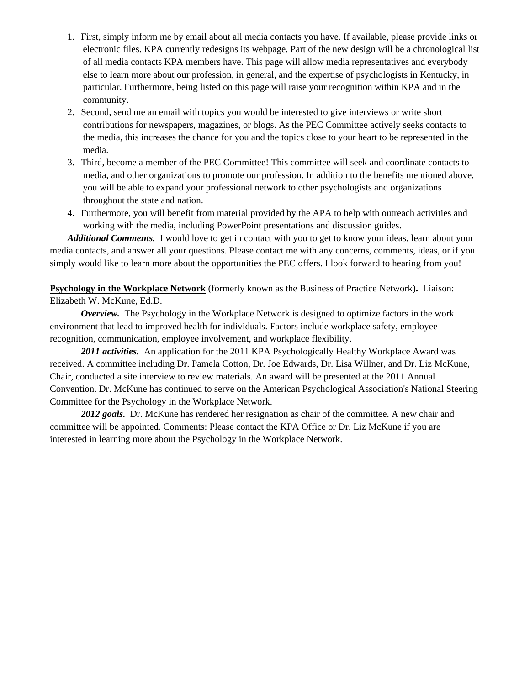- 1. First, simply inform me by email about all media contacts you have. If available, please provide links or electronic files. KPA currently redesigns its webpage. Part of the new design will be a chronological list of all media contacts KPA members have. This page will allow media representatives and everybody else to learn more about our profession, in general, and the expertise of psychologists in Kentucky, in particular. Furthermore, being listed on this page will raise your recognition within KPA and in the community.
- 2. Second, send me an email with topics you would be interested to give interviews or write short contributions for newspapers, magazines, or blogs. As the PEC Committee actively seeks contacts to the media, this increases the chance for you and the topics close to your heart to be represented in the media.
- 3. Third, become a member of the PEC Committee! This committee will seek and coordinate contacts to media, and other organizations to promote our profession. In addition to the benefits mentioned above, you will be able to expand your professional network to other psychologists and organizations throughout the state and nation.
- 4. Furthermore, you will benefit from material provided by the APA to help with outreach activities and working with the media, including PowerPoint presentations and discussion guides.

*Additional Comments.* I would love to get in contact with you to get to know your ideas, learn about your media contacts, and answer all your questions. Please contact me with any concerns, comments, ideas, or if you simply would like to learn more about the opportunities the PEC offers. I look forward to hearing from you!

**Psychology in the Workplace Network** (formerly known as the Business of Practice Network)**.** Liaison: Elizabeth W. McKune, Ed.D.

*Overview.* The Psychology in the Workplace Network is designed to optimize factors in the work environment that lead to improved health for individuals. Factors include workplace safety, employee recognition, communication, employee involvement, and workplace flexibility.

*2011 activities.* An application for the 2011 KPA Psychologically Healthy Workplace Award was received. A committee including Dr. Pamela Cotton, Dr. Joe Edwards, Dr. Lisa Willner, and Dr. Liz McKune, Chair, conducted a site interview to review materials. An award will be presented at the 2011 Annual Convention. Dr. McKune has continued to serve on the American Psychological Association's National Steering Committee for the Psychology in the Workplace Network.

*2012 goals.* Dr. McKune has rendered her resignation as chair of the committee. A new chair and committee will be appointed. Comments: Please contact the KPA Office or Dr. Liz McKune if you are interested in learning more about the Psychology in the Workplace Network.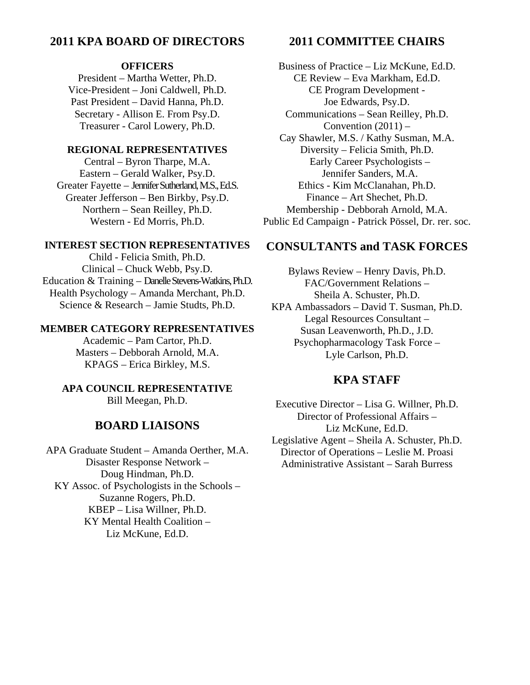# **2011 KPA BOARD OF DIRECTORS**

#### **OFFICERS**

President – Martha Wetter, Ph.D. Vice-President – Joni Caldwell, Ph.D. Past President – David Hanna, Ph.D. Secretary - Allison E. From Psy.D. Treasurer - Carol Lowery, Ph.D.

#### **REGIONAL REPRESENTATIVES**

Central – Byron Tharpe, M.A. Eastern – Gerald Walker, Psy.D. Greater Fayette – Jennifer Sutherland, M.S., Ed.S. Greater Jefferson – Ben Birkby, Psy.D. Northern – Sean Reilley, Ph.D. Western - Ed Morris, Ph.D.

#### **INTEREST SECTION REPRESENTATIVES**

Child - Felicia Smith, Ph.D. Clinical – Chuck Webb, Psy.D. Education & Training – Danelle Stevens-Watkins, Ph.D. Health Psychology – Amanda Merchant, Ph.D. Science & Research – Jamie Studts, Ph.D.

#### **MEMBER CATEGORY REPRESENTATIVES**

Academic – Pam Cartor, Ph.D. Masters – Debborah Arnold, M.A. KPAGS – Erica Birkley, M.S.

# **APA COUNCIL REPRESENTATIVE**

Bill Meegan, Ph.D.

# **BOARD LIAISONS**

APA Graduate Student – Amanda Oerther, M.A. Disaster Response Network – Doug Hindman, Ph.D. KY Assoc. of Psychologists in the Schools – Suzanne Rogers, Ph.D. KBEP – Lisa Willner, Ph.D. KY Mental Health Coalition – Liz McKune, Ed.D.

# **2011 COMMITTEE CHAIRS**

Business of Practice – Liz McKune, Ed.D. CE Review – Eva Markham, Ed.D. CE Program Development - Joe Edwards, Psy.D. Communications – Sean Reilley, Ph.D. Convention  $(2011)$  – Cay Shawler, M.S. / Kathy Susman, M.A. Diversity – Felicia Smith, Ph.D. Early Career Psychologists – Jennifer Sanders, M.A. Ethics - Kim McClanahan, Ph.D. Finance – Art Shechet, Ph.D. Membership - Debborah Arnold, M.A. Public Ed Campaign - Patrick Pössel, Dr. rer. soc.

# **CONSULTANTS and TASK FORCES**

Bylaws Review – Henry Davis, Ph.D. FAC/Government Relations – Sheila A. Schuster, Ph.D. KPA Ambassadors – David T. Susman, Ph.D. Legal Resources Consultant – Susan Leavenworth, Ph.D., J.D. Psychopharmacology Task Force – Lyle Carlson, Ph.D.

# **KPA STAFF**

Executive Director – Lisa G. Willner, Ph.D. Director of Professional Affairs – Liz McKune, Ed.D. Legislative Agent – Sheila A. Schuster, Ph.D. Director of Operations – Leslie M. Proasi Administrative Assistant – Sarah Burress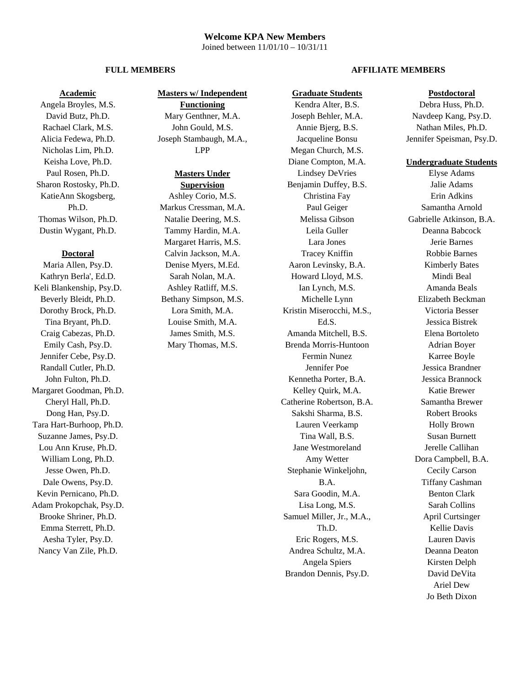#### **Welcome KPA New Members**  Joined between 11/01/10 – 10/31/11

#### **Academic**

Angela Broyles, M.S. David Butz, Ph.D. Rachael Clark, M.S. Alicia Fedewa, Ph.D. Nicholas Lim, Ph.D. Keisha Love, Ph.D. Paul Rosen, Ph.D. Sharon Rostosky, Ph.D. KatieAnn Skogsberg, Ph.D. Thomas Wilson, Ph.D. Dustin Wygant, Ph.D.

#### **Doctoral**

Maria Allen, Psy.D. Kathryn Berla', Ed.D. Keli Blankenship, Psy.D. Beverly Bleidt, Ph.D. Dorothy Brock, Ph.D. Tina Bryant, Ph.D. Craig Cabezas, Ph.D. Emily Cash, Psy.D. Jennifer Cebe, Psy.D. Randall Cutler, Ph.D. John Fulton, Ph.D. Margaret Goodman, Ph.D. Cheryl Hall, Ph.D. Dong Han, Psy.D. Tara Hart-Burhoop, Ph.D. Suzanne James, Psy.D. Lou Ann Kruse, Ph.D. William Long, Ph.D. Jesse Owen, Ph.D. Dale Owens, Psy.D. Kevin Pernicano, Ph.D. Adam Prokopchak, Psy.D. Brooke Shriner, Ph.D. Emma Sterrett, Ph.D. Aesha Tyler, Psy.D. Nancy Van Zile, Ph.D.

### **Masters w/ Independent**

**Functioning** Mary Genthner, M.A. John Gould, M.S. Joseph Stambaugh, M.A., LPP

#### **Masters Under**

**Supervision** Ashley Corio, M.S. Markus Cressman, M.A. Natalie Deering, M.S. Tammy Hardin, M.A. Margaret Harris, M.S. Calvin Jackson, M.A. Denise Myers, M.Ed. Sarah Nolan, M.A. Ashley Ratliff, M.S. Bethany Simpson, M.S. Lora Smith, M.A. Louise Smith, M.A. James Smith, M.S. Mary Thomas, M.S.

#### **FULL MEMBERS** AFFILIATE MEMBERS

#### **Graduate Students**

Kendra Alter, B.S. Joseph Behler, M.A. Annie Bjerg, B.S. Jacqueline Bonsu Megan Church, M.S. Diane Compton, M.A. Lindsey DeVries Benjamin Duffey, B.S. Christina Fay Paul Geiger Melissa Gibson Leila Guller Lara Jones Tracey Kniffin Aaron Levinsky, B.A. Howard Lloyd, M.S. Ian Lynch, M.S. Michelle Lynn Kristin Miserocchi, M.S., Ed.S. Amanda Mitchell, B.S. Brenda Morris-Huntoon Fermin Nunez Jennifer Poe Kennetha Porter, B.A. Kelley Quirk, M.A. Catherine Robertson, B.A. Sakshi Sharma, B.S. Lauren Veerkamp Tina Wall, B.S. Jane Westmoreland Amy Wetter Stephanie Winkeljohn, B.A. Sara Goodin, M.A. Lisa Long, M.S. Samuel Miller, Jr., M.A., Th.D. Eric Rogers, M.S. Andrea Schultz, M.A. Angela Spiers Brandon Dennis, Psy.D.

#### **Postdoctoral**

Debra Huss, Ph.D. Navdeep Kang, Psy.D. Nathan Miles, Ph.D. Jennifer Speisman, Psy.D.

#### **Undergraduate Students**

Elyse Adams Jalie Adams Erin Adkins Samantha Arnold Gabrielle Atkinson, B.A. Deanna Babcock Jerie Barnes Robbie Barnes Kimberly Bates Mindi Beal Amanda Beals Elizabeth Beckman Victoria Besser Jessica Bistrek Elena Bortoleto Adrian Boyer Karree Boyle Jessica Brandner Jessica Brannock Katie Brewer Samantha Brewer Robert Brooks Holly Brown Susan Burnett Jerelle Callihan Dora Campbell, B.A. Cecily Carson Tiffany Cashman Benton Clark Sarah Collins April Curtsinger Kellie Davis Lauren Davis Deanna Deaton Kirsten Delph David DeVita Ariel Dew Jo Beth Dixon